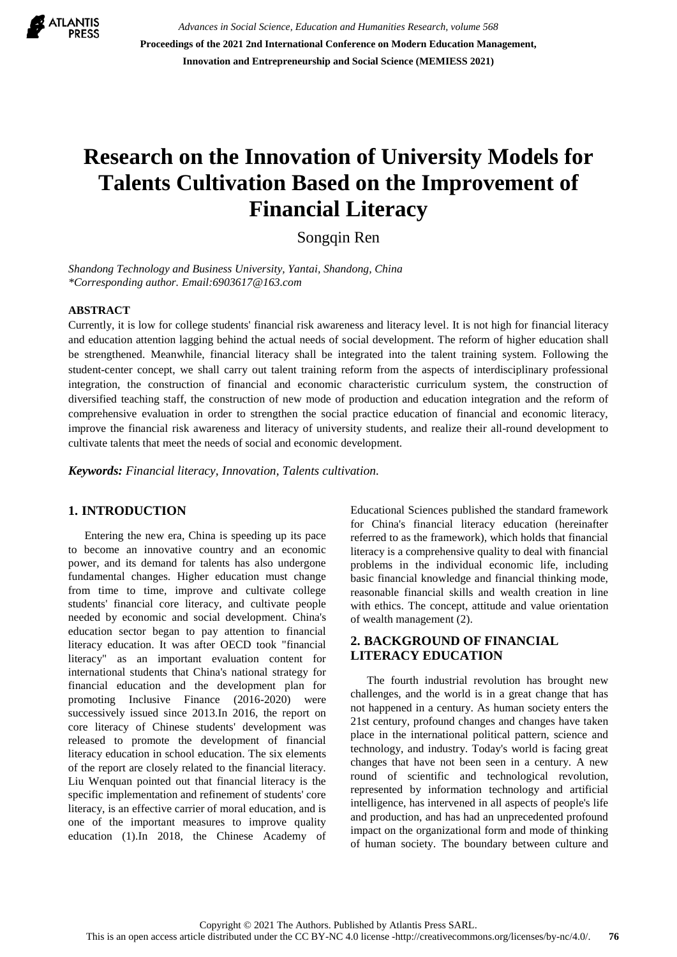

*Advances in Social Science, Education and Humanities Research, volume 568* **Proceedings of the 2021 2nd International Conference on Modern Education Management, Innovation and Entrepreneurship and Social Science (MEMIESS 2021)**

# **Research on the Innovation of University Models for Talents Cultivation Based on the Improvement of Financial Literacy**

Songqin Ren

*Shandong Technology and Business University, Yantai, Shandong, China \*Corresponding author. Email:6903617@163.com*

#### **ABSTRACT**

Currently, it is low for college students' financial risk awareness and literacy level. It is not high for financial literacy and education attention lagging behind the actual needs of social development. The reform of higher education shall be strengthened. Meanwhile, financial literacy shall be integrated into the talent training system. Following the student-center concept, we shall carry out talent training reform from the aspects of interdisciplinary professional integration, the construction of financial and economic characteristic curriculum system, the construction of diversified teaching staff, the construction of new mode of production and education integration and the reform of comprehensive evaluation in order to strengthen the social practice education of financial and economic literacy, improve the financial risk awareness and literacy of university students, and realize their all-round development to cultivate talents that meet the needs of social and economic development.

*Keywords: Financial literacy, Innovation, Talents cultivation.*

#### **1. INTRODUCTION**

Entering the new era, China is speeding up its pace to become an innovative country and an economic power, and its demand for talents has also undergone fundamental changes. Higher education must change from time to time, improve and cultivate college students' financial core literacy, and cultivate people needed by economic and social development. China's education sector began to pay attention to financial literacy education. It was after OECD took "financial literacy" as an important evaluation content for international students that China's national strategy for financial education and the development plan for promoting Inclusive Finance (2016-2020) were successively issued since 2013.In 2016, the report on core literacy of Chinese students' development was released to promote the development of financial literacy education in school education. The six elements of the report are closely related to the financial literacy. Liu Wenquan pointed out that financial literacy is the specific implementation and refinement of students' core literacy, is an effective carrier of moral education, and is one of the important measures to improve quality education (1).In 2018, the Chinese Academy of Educational Sciences published the standard framework for China's financial literacy education (hereinafter referred to as the framework), which holds that financial literacy is a comprehensive quality to deal with financial problems in the individual economic life, including basic financial knowledge and financial thinking mode, reasonable financial skills and wealth creation in line with ethics. The concept, attitude and value orientation of wealth management (2).

### **2. BACKGROUND OF FINANCIAL LITERACY EDUCATION**

The fourth industrial revolution has brought new challenges, and the world is in a great change that has not happened in a century. As human society enters the 21st century, profound changes and changes have taken place in the international political pattern, science and technology, and industry. Today's world is facing great changes that have not been seen in a century. A new round of scientific and technological revolution, represented by information technology and artificial intelligence, has intervened in all aspects of people's life and production, and has had an unprecedented profound impact on the organizational form and mode of thinking of human society. The boundary between culture and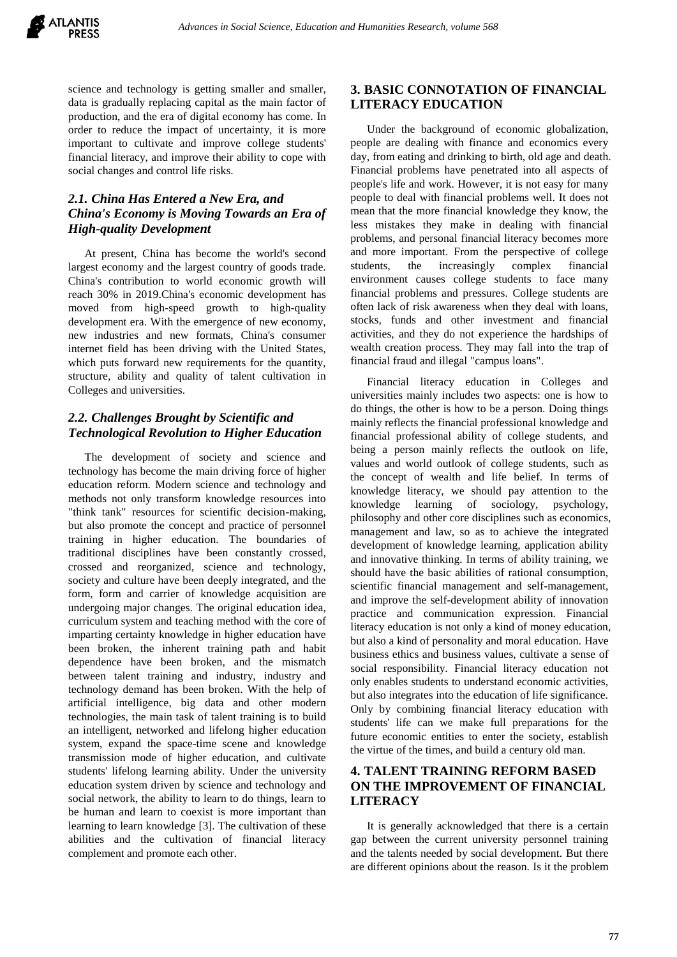science and technology is getting smaller and smaller, data is gradually replacing capital as the main factor of production, and the era of digital economy has come. In order to reduce the impact of uncertainty, it is more important to cultivate and improve college students' financial literacy, and improve their ability to cope with social changes and control life risks.

# *2.1. China Has Entered a New Era, and China's Economy is Moving Towards an Era of High-quality Development*

At present, China has become the world's second largest economy and the largest country of goods trade. China's contribution to world economic growth will reach 30% in 2019.China's economic development has moved from high-speed growth to high-quality development era. With the emergence of new economy, new industries and new formats, China's consumer internet field has been driving with the United States, which puts forward new requirements for the quantity, structure, ability and quality of talent cultivation in Colleges and universities.

### *2.2. Challenges Brought by Scientific and Technological Revolution to Higher Education*

The development of society and science and technology has become the main driving force of higher education reform. Modern science and technology and methods not only transform knowledge resources into "think tank" resources for scientific decision-making, but also promote the concept and practice of personnel training in higher education. The boundaries of traditional disciplines have been constantly crossed, crossed and reorganized, science and technology, society and culture have been deeply integrated, and the form, form and carrier of knowledge acquisition are undergoing major changes. The original education idea, curriculum system and teaching method with the core of imparting certainty knowledge in higher education have been broken, the inherent training path and habit dependence have been broken, and the mismatch between talent training and industry, industry and technology demand has been broken. With the help of artificial intelligence, big data and other modern technologies, the main task of talent training is to build an intelligent, networked and lifelong higher education system, expand the space-time scene and knowledge transmission mode of higher education, and cultivate students' lifelong learning ability. Under the university education system driven by science and technology and social network, the ability to learn to do things, learn to be human and learn to coexist is more important than learning to learn knowledge [3]. The cultivation of these abilities and the cultivation of financial literacy complement and promote each other.

## **3. BASIC CONNOTATION OF FINANCIAL LITERACY EDUCATION**

Under the background of economic globalization, people are dealing with finance and economics every day, from eating and drinking to birth, old age and death. Financial problems have penetrated into all aspects of people's life and work. However, it is not easy for many people to deal with financial problems well. It does not mean that the more financial knowledge they know, the less mistakes they make in dealing with financial problems, and personal financial literacy becomes more and more important. From the perspective of college students, the increasingly complex financial environment causes college students to face many financial problems and pressures. College students are often lack of risk awareness when they deal with loans, stocks, funds and other investment and financial activities, and they do not experience the hardships of wealth creation process. They may fall into the trap of financial fraud and illegal "campus loans".

Financial literacy education in Colleges and universities mainly includes two aspects: one is how to do things, the other is how to be a person. Doing things mainly reflects the financial professional knowledge and financial professional ability of college students, and being a person mainly reflects the outlook on life, values and world outlook of college students, such as the concept of wealth and life belief. In terms of knowledge literacy, we should pay attention to the knowledge learning of sociology, psychology, philosophy and other core disciplines such as economics, management and law, so as to achieve the integrated development of knowledge learning, application ability and innovative thinking. In terms of ability training, we should have the basic abilities of rational consumption, scientific financial management and self-management, and improve the self-development ability of innovation practice and communication expression. Financial literacy education is not only a kind of money education, but also a kind of personality and moral education. Have business ethics and business values, cultivate a sense of social responsibility. Financial literacy education not only enables students to understand economic activities, but also integrates into the education of life significance. Only by combining financial literacy education with students' life can we make full preparations for the future economic entities to enter the society, establish the virtue of the times, and build a century old man.

# **4. TALENT TRAINING REFORM BASED ON THE IMPROVEMENT OF FINANCIAL LITERACY**

It is generally acknowledged that there is a certain gap between the current university personnel training and the talents needed by social development. But there are different opinions about the reason. Is it the problem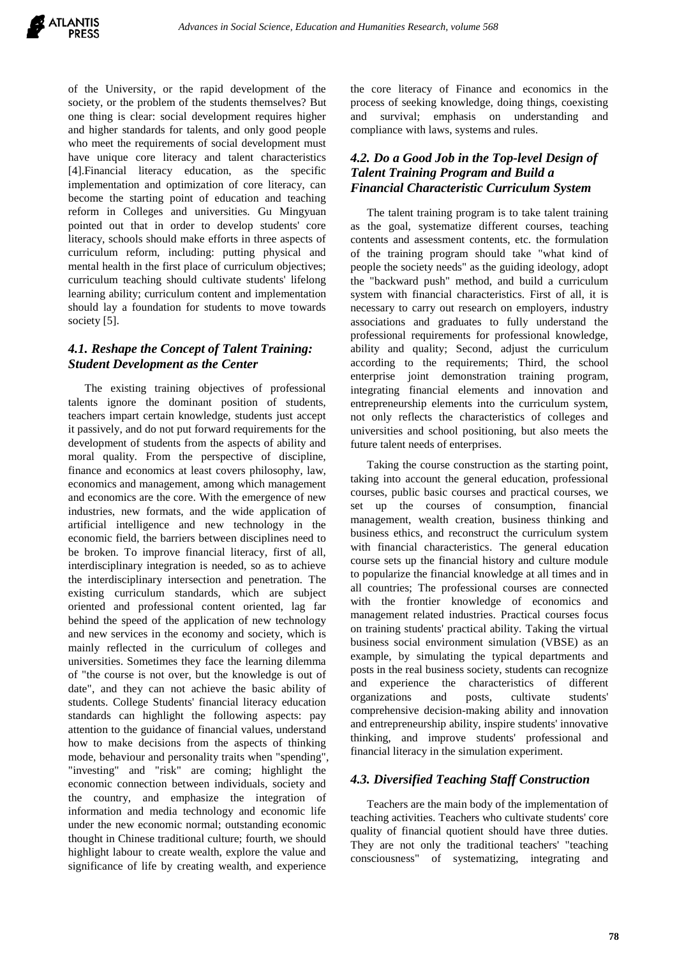of the University, or the rapid development of the society, or the problem of the students themselves? But one thing is clear: social development requires higher and higher standards for talents, and only good people who meet the requirements of social development must have unique core literacy and talent characteristics [4].Financial literacy education, as the specific implementation and optimization of core literacy, can become the starting point of education and teaching reform in Colleges and universities. Gu Mingyuan pointed out that in order to develop students' core literacy, schools should make efforts in three aspects of curriculum reform, including: putting physical and mental health in the first place of curriculum objectives; curriculum teaching should cultivate students' lifelong learning ability; curriculum content and implementation should lay a foundation for students to move towards society [5].

### *4.1. Reshape the Concept of Talent Training: Student Development as the Center*

The existing training objectives of professional talents ignore the dominant position of students, teachers impart certain knowledge, students just accept it passively, and do not put forward requirements for the development of students from the aspects of ability and moral quality. From the perspective of discipline, finance and economics at least covers philosophy, law, economics and management, among which management and economics are the core. With the emergence of new industries, new formats, and the wide application of artificial intelligence and new technology in the economic field, the barriers between disciplines need to be broken. To improve financial literacy, first of all, interdisciplinary integration is needed, so as to achieve the interdisciplinary intersection and penetration. The existing curriculum standards, which are subject oriented and professional content oriented, lag far behind the speed of the application of new technology and new services in the economy and society, which is mainly reflected in the curriculum of colleges and universities. Sometimes they face the learning dilemma of "the course is not over, but the knowledge is out of date", and they can not achieve the basic ability of students. College Students' financial literacy education standards can highlight the following aspects: pay attention to the guidance of financial values, understand how to make decisions from the aspects of thinking mode, behaviour and personality traits when "spending", "investing" and "risk" are coming; highlight the economic connection between individuals, society and the country, and emphasize the integration of information and media technology and economic life under the new economic normal; outstanding economic thought in Chinese traditional culture; fourth, we should highlight labour to create wealth, explore the value and significance of life by creating wealth, and experience

the core literacy of Finance and economics in the process of seeking knowledge, doing things, coexisting and survival; emphasis on understanding and compliance with laws, systems and rules.

# *4.2. Do a Good Job in the Top-level Design of Talent Training Program and Build a Financial Characteristic Curriculum System*

The talent training program is to take talent training as the goal, systematize different courses, teaching contents and assessment contents, etc. the formulation of the training program should take "what kind of people the society needs" as the guiding ideology, adopt the "backward push" method, and build a curriculum system with financial characteristics. First of all, it is necessary to carry out research on employers, industry associations and graduates to fully understand the professional requirements for professional knowledge, ability and quality; Second, adjust the curriculum according to the requirements; Third, the school enterprise joint demonstration training program, integrating financial elements and innovation and entrepreneurship elements into the curriculum system, not only reflects the characteristics of colleges and universities and school positioning, but also meets the future talent needs of enterprises.

Taking the course construction as the starting point, taking into account the general education, professional courses, public basic courses and practical courses, we set up the courses of consumption, financial management, wealth creation, business thinking and business ethics, and reconstruct the curriculum system with financial characteristics. The general education course sets up the financial history and culture module to popularize the financial knowledge at all times and in all countries; The professional courses are connected with the frontier knowledge of economics and management related industries. Practical courses focus on training students' practical ability. Taking the virtual business social environment simulation (VBSE) as an example, by simulating the typical departments and posts in the real business society, students can recognize and experience the characteristics of different organizations and posts, cultivate students' comprehensive decision-making ability and innovation and entrepreneurship ability, inspire students' innovative thinking, and improve students' professional and financial literacy in the simulation experiment.

#### *4.3. Diversified Teaching Staff Construction*

Teachers are the main body of the implementation of teaching activities. Teachers who cultivate students' core quality of financial quotient should have three duties. They are not only the traditional teachers' "teaching consciousness" of systematizing, integrating and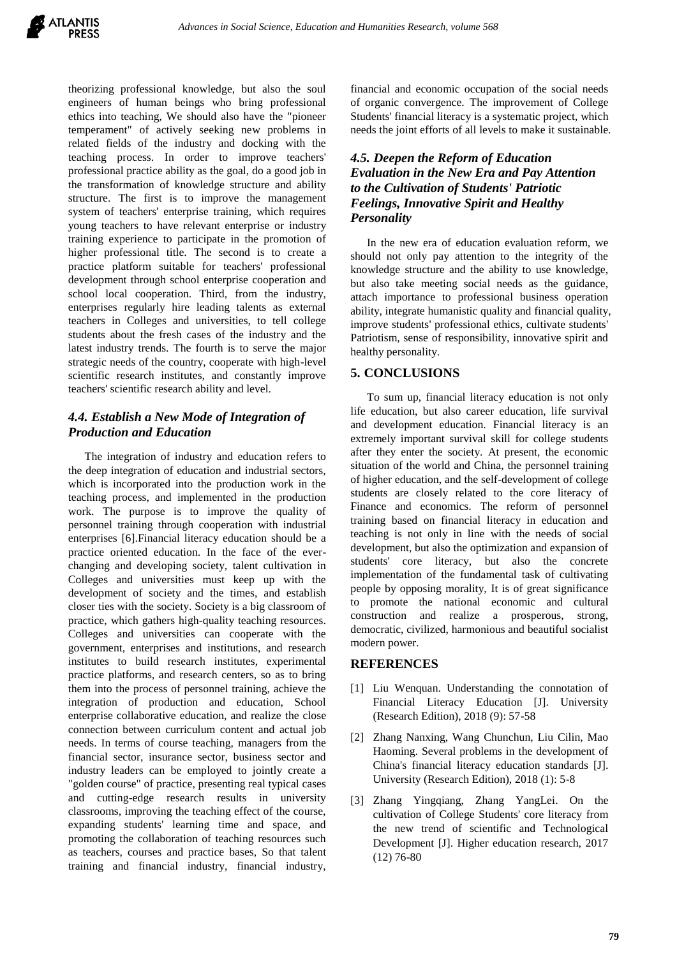theorizing professional knowledge, but also the soul engineers of human beings who bring professional ethics into teaching, We should also have the "pioneer temperament" of actively seeking new problems in related fields of the industry and docking with the teaching process. In order to improve teachers' professional practice ability as the goal, do a good job in the transformation of knowledge structure and ability structure. The first is to improve the management system of teachers' enterprise training, which requires young teachers to have relevant enterprise or industry training experience to participate in the promotion of higher professional title. The second is to create a practice platform suitable for teachers' professional development through school enterprise cooperation and school local cooperation. Third, from the industry, enterprises regularly hire leading talents as external teachers in Colleges and universities, to tell college students about the fresh cases of the industry and the latest industry trends. The fourth is to serve the major strategic needs of the country, cooperate with high-level scientific research institutes, and constantly improve teachers' scientific research ability and level.

#### *4.4. Establish a New Mode of Integration of Production and Education*

The integration of industry and education refers to the deep integration of education and industrial sectors, which is incorporated into the production work in the teaching process, and implemented in the production work. The purpose is to improve the quality of personnel training through cooperation with industrial enterprises [6].Financial literacy education should be a practice oriented education. In the face of the everchanging and developing society, talent cultivation in Colleges and universities must keep up with the development of society and the times, and establish closer ties with the society. Society is a big classroom of practice, which gathers high-quality teaching resources. Colleges and universities can cooperate with the government, enterprises and institutions, and research institutes to build research institutes, experimental practice platforms, and research centers, so as to bring them into the process of personnel training, achieve the integration of production and education, School enterprise collaborative education, and realize the close connection between curriculum content and actual job needs. In terms of course teaching, managers from the financial sector, insurance sector, business sector and industry leaders can be employed to jointly create a "golden course" of practice, presenting real typical cases and cutting-edge research results in university classrooms, improving the teaching effect of the course, expanding students' learning time and space, and promoting the collaboration of teaching resources such as teachers, courses and practice bases, So that talent training and financial industry, financial industry, financial and economic occupation of the social needs of organic convergence. The improvement of College Students' financial literacy is a systematic project, which needs the joint efforts of all levels to make it sustainable.

## *4.5. Deepen the Reform of Education Evaluation in the New Era and Pay Attention to the Cultivation of Students' Patriotic Feelings, Innovative Spirit and Healthy Personality*

In the new era of education evaluation reform, we should not only pay attention to the integrity of the knowledge structure and the ability to use knowledge, but also take meeting social needs as the guidance, attach importance to professional business operation ability, integrate humanistic quality and financial quality, improve students' professional ethics, cultivate students' Patriotism, sense of responsibility, innovative spirit and healthy personality.

#### **5. CONCLUSIONS**

To sum up, financial literacy education is not only life education, but also career education, life survival and development education. Financial literacy is an extremely important survival skill for college students after they enter the society. At present, the economic situation of the world and China, the personnel training of higher education, and the self-development of college students are closely related to the core literacy of Finance and economics. The reform of personnel training based on financial literacy in education and teaching is not only in line with the needs of social development, but also the optimization and expansion of students' core literacy, but also the concrete implementation of the fundamental task of cultivating people by opposing morality, It is of great significance to promote the national economic and cultural construction and realize a prosperous, strong, democratic, civilized, harmonious and beautiful socialist modern power.

#### **REFERENCES**

- [1] Liu Wenquan. Understanding the connotation of Financial Literacy Education [J]. University (Research Edition), 2018 (9): 57-58
- [2] Zhang Nanxing, Wang Chunchun, Liu Cilin, Mao Haoming. Several problems in the development of China's financial literacy education standards [J]. University (Research Edition), 2018 (1): 5-8
- [3] Zhang Yingqiang, Zhang YangLei. On the cultivation of College Students' core literacy from the new trend of scientific and Technological Development [J]. Higher education research, 2017 (12) 76-80